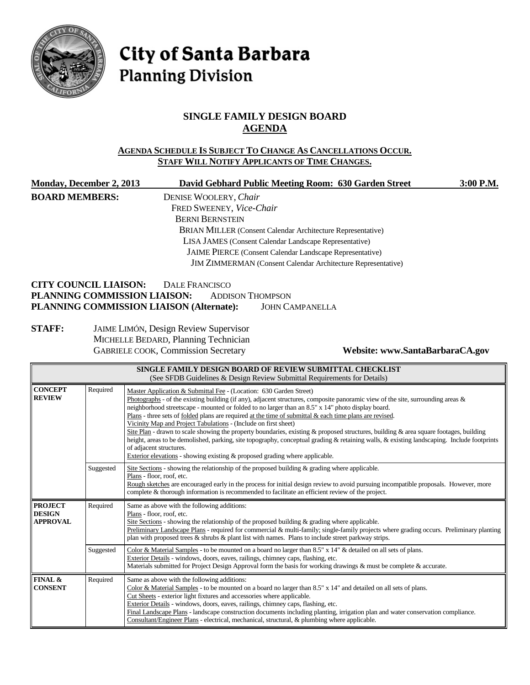

# City of Santa Barbara **Planning Division**

## **SINGLE FAMILY DESIGN BOARD AGENDA**

#### **AGENDA SCHEDULE IS SUBJECT TO CHANGE AS CANCELLATIONS OCCUR. STAFF WILL NOTIFY APPLICANTS OF TIME CHANGES.**

| Monday, December 2, 2013 |                                                                 | David Gebhard Public Meeting Room: 630 Garden Street                                                            | 3:00 P.M. |  |
|--------------------------|-----------------------------------------------------------------|-----------------------------------------------------------------------------------------------------------------|-----------|--|
| <b>BOARD MEMBERS:</b>    |                                                                 | DENISE WOOLERY, Chair                                                                                           |           |  |
|                          |                                                                 | FRED SWEENEY, Vice-Chair                                                                                        |           |  |
|                          |                                                                 | <b>BERNI BERNSTEIN</b>                                                                                          |           |  |
|                          |                                                                 | <b>BRIAN MILLER (Consent Calendar Architecture Representative)</b>                                              |           |  |
|                          |                                                                 |                                                                                                                 |           |  |
|                          | <b>JAIME PIERCE</b> (Consent Calendar Landscape Representative) |                                                                                                                 |           |  |
|                          |                                                                 | <b>JIM ZIMMERMAN</b> (Consent Calendar Architecture Representative)                                             |           |  |
|                          | <b>CITY COUNCIL LIAISON:</b><br>PLANNING COMMISSION LIAISON:    | DALE FRANCISCO<br><b>ADDISON THOMPSON</b><br>PLANNING COMMISSION LIAISON (Alternate):<br><b>JOHN CAMPANELLA</b> |           |  |
| <b>STAFF:</b>            |                                                                 | <b>JAIME LIMÓN, Design Review Supervisor</b><br>MICHELLE BEDARD, Planning Technician                            |           |  |

GABRIELE COOK, Commission Secretary **Website: www.SantaBarbaraCA.gov**

| SINGLE FAMILY DESIGN BOARD OF REVIEW SUBMITTAL CHECKLIST<br>(See SFDB Guidelines & Design Review Submittal Requirements for Details) |                                                                                                                                                                                                                                                                                                                                                                                                                                                                                                                                                                                                                                                                                                                                                                                                                                                                                                                       |                                                                                                                                                                                                                                                                                                                                                                                                                                                                                                                                                                  |  |  |  |
|--------------------------------------------------------------------------------------------------------------------------------------|-----------------------------------------------------------------------------------------------------------------------------------------------------------------------------------------------------------------------------------------------------------------------------------------------------------------------------------------------------------------------------------------------------------------------------------------------------------------------------------------------------------------------------------------------------------------------------------------------------------------------------------------------------------------------------------------------------------------------------------------------------------------------------------------------------------------------------------------------------------------------------------------------------------------------|------------------------------------------------------------------------------------------------------------------------------------------------------------------------------------------------------------------------------------------------------------------------------------------------------------------------------------------------------------------------------------------------------------------------------------------------------------------------------------------------------------------------------------------------------------------|--|--|--|
| <b>CONCEPT</b><br><b>REVIEW</b>                                                                                                      | Required<br>Master Application & Submittal Fee - (Location: 630 Garden Street)<br>Photographs - of the existing building (if any), adjacent structures, composite panoramic view of the site, surrounding areas $\&$<br>neighborhood streetscape - mounted or folded to no larger than an 8.5" x 14" photo display board.<br>Plans - three sets of <u>folded</u> plans are required at the time of submittal $\&$ each time plans are revised.<br>Vicinity Map and Project Tabulations - (Include on first sheet)<br>Site Plan - drawn to scale showing the property boundaries, existing & proposed structures, building & area square footages, building<br>height, areas to be demolished, parking, site topography, conceptual grading & retaining walls, & existing landscaping. Include footprints<br>of adjacent structures.<br>Exterior elevations - showing existing $\&$ proposed grading where applicable. |                                                                                                                                                                                                                                                                                                                                                                                                                                                                                                                                                                  |  |  |  |
|                                                                                                                                      | Suggested                                                                                                                                                                                                                                                                                                                                                                                                                                                                                                                                                                                                                                                                                                                                                                                                                                                                                                             | Site Sections - showing the relationship of the proposed building $\&$ grading where applicable.<br>Plans - floor, roof, etc.<br>Rough sketches are encouraged early in the process for initial design review to avoid pursuing incompatible proposals. However, more<br>complete & thorough information is recommended to facilitate an efficient review of the project.                                                                                                                                                                                        |  |  |  |
| <b>PROJECT</b><br><b>DESIGN</b><br><b>APPROVAL</b>                                                                                   | Required                                                                                                                                                                                                                                                                                                                                                                                                                                                                                                                                                                                                                                                                                                                                                                                                                                                                                                              | Same as above with the following additions:<br>Plans - floor, roof, etc.<br>Site Sections - showing the relationship of the proposed building & grading where applicable.<br>Preliminary Landscape Plans - required for commercial & multi-family; single-family projects where grading occurs. Preliminary planting<br>plan with proposed trees & shrubs & plant list with names. Plans to include street parkway strips.                                                                                                                                       |  |  |  |
|                                                                                                                                      | Suggested                                                                                                                                                                                                                                                                                                                                                                                                                                                                                                                                                                                                                                                                                                                                                                                                                                                                                                             | Color & Material Samples - to be mounted on a board no larger than 8.5" x 14" & detailed on all sets of plans.<br>Exterior Details - windows, doors, eaves, railings, chimney caps, flashing, etc.<br>Materials submitted for Project Design Approval form the basis for working drawings & must be complete & accurate.                                                                                                                                                                                                                                         |  |  |  |
| FINAL &<br><b>CONSENT</b>                                                                                                            | Required                                                                                                                                                                                                                                                                                                                                                                                                                                                                                                                                                                                                                                                                                                                                                                                                                                                                                                              | Same as above with the following additions:<br>Color & Material Samples - to be mounted on a board no larger than 8.5" x 14" and detailed on all sets of plans.<br>Cut Sheets - exterior light fixtures and accessories where applicable.<br>Exterior Details - windows, doors, eaves, railings, chimney caps, flashing, etc.<br>Final Landscape Plans - landscape construction documents including planting, irrigation plan and water conservation compliance.<br>Consultant/Engineer Plans - electrical, mechanical, structural, & plumbing where applicable. |  |  |  |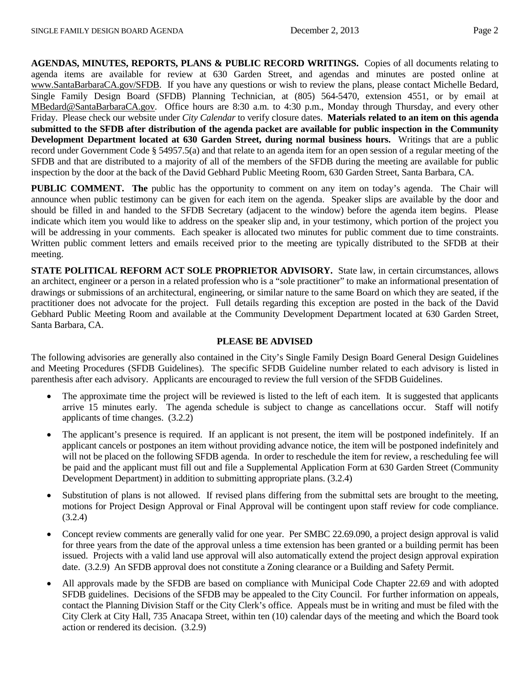**AGENDAS, MINUTES, REPORTS, PLANS & PUBLIC RECORD WRITINGS.** Copies of all documents relating to agenda items are available for review at 630 Garden Street, and agendas and minutes are posted online at [www.SantaBarbaraCA.gov/SFDB.](http://www.santabarbaraca.gov/ABR) If you have any questions or wish to review the plans, please contact Michelle Bedard, Single Family Design Board (SFDB) Planning Technician, at (805) 564-5470, extension 4551, or by email at [MBedard@SantaBarbaraCA.gov.](mailto:MBedard@SantaBarbaraCA.gov) Office hours are 8:30 a.m. to 4:30 p.m., Monday through Thursday, and every other Friday. Please check our website under *City Calendar* to verify closure dates. **Materials related to an item on this agenda submitted to the SFDB after distribution of the agenda packet are available for public inspection in the Community Development Department located at 630 Garden Street, during normal business hours.** Writings that are a public record under Government Code § 54957.5(a) and that relate to an agenda item for an open session of a regular meeting of the SFDB and that are distributed to a majority of all of the members of the SFDB during the meeting are available for public inspection by the door at the back of the David Gebhard Public Meeting Room, 630 Garden Street, Santa Barbara, CA.

**PUBLIC COMMENT. The** public has the opportunity to comment on any item on today's agenda. The Chair will announce when public testimony can be given for each item on the agenda. Speaker slips are available by the door and should be filled in and handed to the SFDB Secretary (adjacent to the window) before the agenda item begins. Please indicate which item you would like to address on the speaker slip and, in your testimony, which portion of the project you will be addressing in your comments. Each speaker is allocated two minutes for public comment due to time constraints. Written public comment letters and emails received prior to the meeting are typically distributed to the SFDB at their meeting.

**STATE POLITICAL REFORM ACT SOLE PROPRIETOR ADVISORY.** State law, in certain circumstances, allows an architect, engineer or a person in a related profession who is a "sole practitioner" to make an informational presentation of drawings or submissions of an architectural, engineering, or similar nature to the same Board on which they are seated, if the practitioner does not advocate for the project. Full details regarding this exception are posted in the back of the David Gebhard Public Meeting Room and available at the Community Development Department located at 630 Garden Street, Santa Barbara, CA.

#### **PLEASE BE ADVISED**

The following advisories are generally also contained in the City's Single Family Design Board General Design Guidelines and Meeting Procedures (SFDB Guidelines). The specific SFDB Guideline number related to each advisory is listed in parenthesis after each advisory. Applicants are encouraged to review the full version of the SFDB Guidelines.

- The approximate time the project will be reviewed is listed to the left of each item. It is suggested that applicants arrive 15 minutes early. The agenda schedule is subject to change as cancellations occur. Staff will notify applicants of time changes. (3.2.2)
- The applicant's presence is required. If an applicant is not present, the item will be postponed indefinitely. If an applicant cancels or postpones an item without providing advance notice, the item will be postponed indefinitely and will not be placed on the following SFDB agenda. In order to reschedule the item for review, a rescheduling fee will be paid and the applicant must fill out and file a Supplemental Application Form at 630 Garden Street (Community Development Department) in addition to submitting appropriate plans. (3.2.4)
- Substitution of plans is not allowed. If revised plans differing from the submittal sets are brought to the meeting, motions for Project Design Approval or Final Approval will be contingent upon staff review for code compliance. (3.2.4)
- Concept review comments are generally valid for one year. Per SMBC 22.69.090, a project design approval is valid for three years from the date of the approval unless a time extension has been granted or a building permit has been issued. Projects with a valid land use approval will also automatically extend the project design approval expiration date. (3.2.9) An SFDB approval does not constitute a Zoning clearance or a Building and Safety Permit.
- All approvals made by the SFDB are based on compliance with Municipal Code Chapter 22.69 and with adopted SFDB guidelines. Decisions of the SFDB may be appealed to the City Council. For further information on appeals, contact the Planning Division Staff or the City Clerk's office. Appeals must be in writing and must be filed with the City Clerk at City Hall, 735 Anacapa Street, within ten (10) calendar days of the meeting and which the Board took action or rendered its decision. (3.2.9)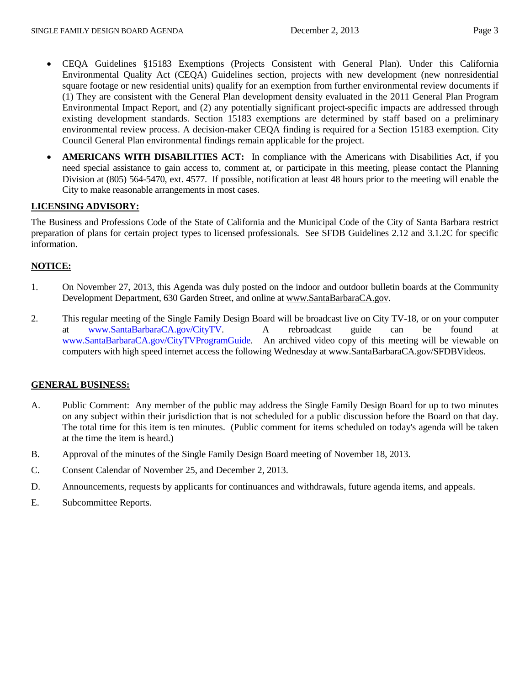- CEQA Guidelines §15183 Exemptions (Projects Consistent with General Plan). Under this California Environmental Quality Act (CEQA) Guidelines section, projects with new development (new nonresidential square footage or new residential units) qualify for an exemption from further environmental review documents if (1) They are consistent with the General Plan development density evaluated in the 2011 General Plan Program Environmental Impact Report, and (2) any potentially significant project-specific impacts are addressed through existing development standards. Section 15183 exemptions are determined by staff based on a preliminary environmental review process. A decision-maker CEQA finding is required for a Section 15183 exemption. City Council General Plan environmental findings remain applicable for the project.
- **AMERICANS WITH DISABILITIES ACT:** In compliance with the Americans with Disabilities Act, if you need special assistance to gain access to, comment at, or participate in this meeting, please contact the Planning Division at (805) 564-5470, ext. 4577. If possible, notification at least 48 hours prior to the meeting will enable the City to make reasonable arrangements in most cases.

#### **LICENSING ADVISORY:**

The Business and Professions Code of the State of California and the Municipal Code of the City of Santa Barbara restrict preparation of plans for certain project types to licensed professionals. See SFDB Guidelines 2.12 and 3.1.2C for specific information.

#### **NOTICE:**

- 1. On November 27, 2013, this Agenda was duly posted on the indoor and outdoor bulletin boards at the Community Development Department, 630 Garden Street, and online at [www.SantaBarbaraCA.gov.](http://www.santabarbaraca.gov/)
- 2. This regular meeting of the Single Family Design Board will be broadcast live on City TV-18, or on your computer at [www.SantaBarbaraCA.gov/CityTV.](http://www.santabarbaraca.gov/CityTV) A rebroadcast guide can be found at [www.SantaBarbaraCA.gov/CityTVProgramGuide.](http://www.santabarbaraca.gov/CityTVProgramGuide) An archived video copy of this meeting will be viewable on computers with high speed internet access the following Wednesday a[t www.SantaBarbaraCA.gov/SFDBVideos.](http://www.santabarbaraca.gov/SFDBVideos)

#### **GENERAL BUSINESS:**

- A. Public Comment: Any member of the public may address the Single Family Design Board for up to two minutes on any subject within their jurisdiction that is not scheduled for a public discussion before the Board on that day. The total time for this item is ten minutes. (Public comment for items scheduled on today's agenda will be taken at the time the item is heard.)
- B. Approval of the minutes of the Single Family Design Board meeting of November 18, 2013.
- C. Consent Calendar of November 25, and December 2, 2013.
- D. Announcements, requests by applicants for continuances and withdrawals, future agenda items, and appeals.
- E. Subcommittee Reports.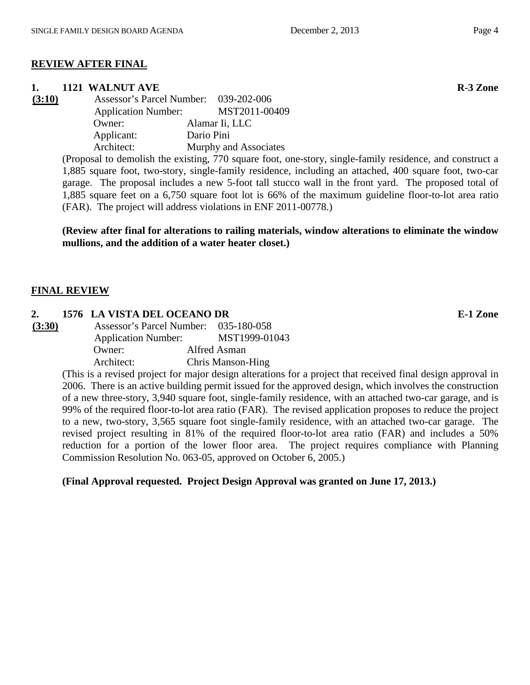# **REVIEW AFTER FINAL**

## **1. 1121 WALNUT AVE R-3 Zone**

**(3:10)** Assessor's Parcel Number: 039-202-006 Application Number: MST2011-00409 Owner: Alamar Ii, LLC Applicant: Dario Pini Architect: Murphy and Associates

> (Proposal to demolish the existing, 770 square foot, one-story, single-family residence, and construct a 1,885 square foot, two-story, single-family residence, including an attached, 400 square foot, two-car garage. The proposal includes a new 5-foot tall stucco wall in the front yard. The proposed total of 1,885 square feet on a 6,750 square foot lot is 66% of the maximum guideline floor-to-lot area ratio (FAR). The project will address violations in ENF 2011-00778.)

> **(Review after final for alterations to railing materials, window alterations to eliminate the window mullions, and the addition of a water heater closet.)**

# **FINAL REVIEW**

## **2. 1576 LA VISTA DEL OCEANO DR E-1 Zone**

**(3:30)** Assessor's Parcel Number: 035-180-058 Application Number: MST1999-01043 Owner: Alfred Asman Architect: Chris Manson-Hing

> (This is a revised project for major design alterations for a project that received final design approval in 2006. There is an active building permit issued for the approved design, which involves the construction of a new three-story, 3,940 square foot, single-family residence, with an attached two-car garage, and is 99% of the required floor-to-lot area ratio (FAR). The revised application proposes to reduce the project to a new, two-story, 3,565 square foot single-family residence, with an attached two-car garage. The revised project resulting in 81% of the required floor-to-lot area ratio (FAR) and includes a 50% reduction for a portion of the lower floor area. The project requires compliance with Planning Commission Resolution No. 063-05, approved on October 6, 2005.)

# **(Final Approval requested. Project Design Approval was granted on June 17, 2013.)**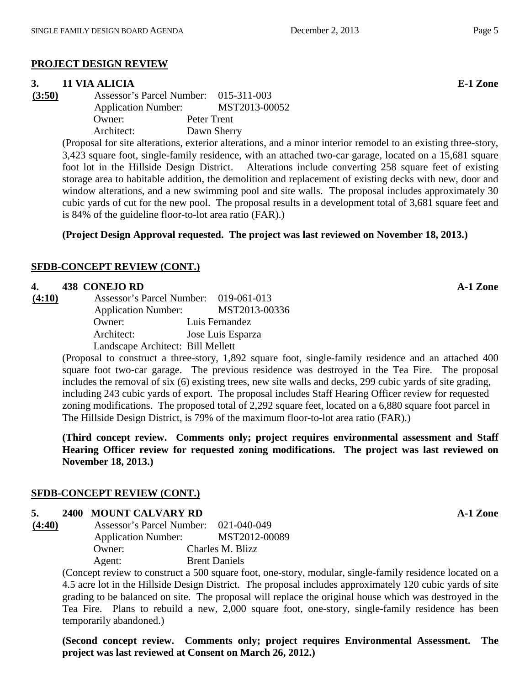## **PROJECT DESIGN REVIEW**

## **3. 11 VIA ALICIA E-1 Zone**

| (3:50) | Assessor's Parcel Number: 015-311-003 |               |
|--------|---------------------------------------|---------------|
|        | <b>Application Number:</b>            | MST2013-00052 |
|        | Owner:                                | Peter Trent   |
|        | Architect:                            | Dawn Sherry   |

(Proposal for site alterations, exterior alterations, and a minor interior remodel to an existing three-story, 3,423 square foot, single-family residence, with an attached two-car garage, located on a 15,681 square foot lot in the Hillside Design District. Alterations include converting 258 square feet of existing storage area to habitable addition, the demolition and replacement of existing decks with new, door and window alterations, and a new swimming pool and site walls. The proposal includes approximately 30 cubic yards of cut for the new pool. The proposal results in a development total of 3,681 square feet and is 84% of the guideline floor-to-lot area ratio (FAR).)

## **(Project Design Approval requested. The project was last reviewed on November 18, 2013.)**

## **SFDB-CONCEPT REVIEW (CONT.)**

## **4. 438 CONEJO RD A-1 Zone**

| (4:10)     | Assessor's Parcel Number:         |                   | 019-061-013   |
|------------|-----------------------------------|-------------------|---------------|
|            | <b>Application Number:</b>        |                   | MST2013-00336 |
| Owner:     |                                   | Luis Fernandez    |               |
| Architect: |                                   | Jose Luis Esparza |               |
|            | Landscape Architect: Bill Mellett |                   |               |

(Proposal to construct a three-story, 1,892 square foot, single-family residence and an attached 400 square foot two-car garage. The previous residence was destroyed in the Tea Fire. The proposal includes the removal of six (6) existing trees, new site walls and decks, 299 cubic yards of site grading, including 243 cubic yards of export. The proposal includes Staff Hearing Officer review for requested zoning modifications. The proposed total of 2,292 square feet, located on a 6,880 square foot parcel in The Hillside Design District, is 79% of the maximum floor-to-lot area ratio (FAR).)

**(Third concept review. Comments only; project requires environmental assessment and Staff Hearing Officer review for requested zoning modifications. The project was last reviewed on November 18, 2013.)**

## **SFDB-CONCEPT REVIEW (CONT.)**

## **5. 2400 MOUNT CALVARY RD A-1 Zone**

**(4:40)** Assessor's Parcel Number: 021-040-049 Application Number: MST2012-00089 Owner: Charles M. Blizz Agent: Brent Daniels

(Concept review to construct a 500 square foot, one-story, modular, single-family residence located on a 4.5 acre lot in the Hillside Design District. The proposal includes approximately 120 cubic yards of site grading to be balanced on site. The proposal will replace the original house which was destroyed in the Tea Fire. Plans to rebuild a new, 2,000 square foot, one-story, single-family residence has been temporarily abandoned.)

**(Second concept review. Comments only; project requires Environmental Assessment. The project was last reviewed at Consent on March 26, 2012.)**